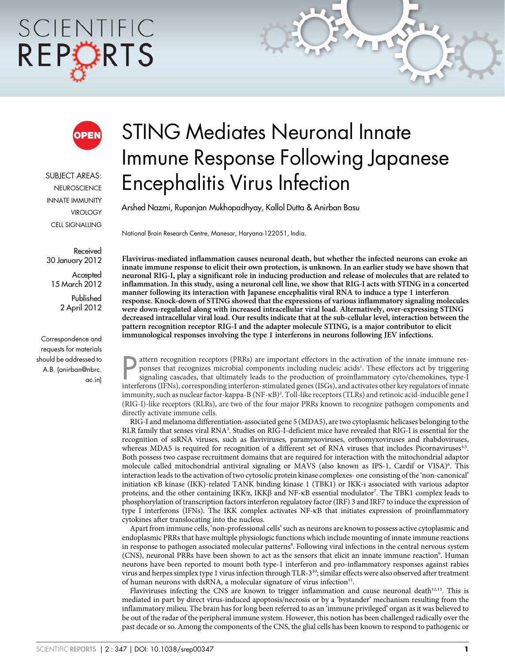# SCIENTIFIC REPORTS



SUBJECT AREAS: **NEUROSCIENCE** INNATE IMMUNITY **VIROLOGY** CELL SIGNALLING

Received 30 January 2012

Accepted 15 March 2012

> Published 2 April 2012

Correspondence and requests for materials should be addressed to A.B. (anirban@nbrc. ac.in)

# STING Mediates Neuronal Innate Immune Response Following Japanese Encephalitis Virus Infection

Arshed Nazmi, Rupanjan Mukhopadhyay, Kallol Dutta & Anirban Basu

National Brain Research Centre, Manesar, Haryana-122051, India.

Flavivirus-mediated inflammation causes neuronal death, but whether the infected neurons can evoke an innate immune response to elicit their own protection, is unknown. In an earlier study we have shown that neuronal RIG-I, play a significant role in inducing production and release of molecules that are related to inflammation. In this study, using a neuronal cell line, we show that RIG-I acts with STING in a concerted manner following its interaction with Japanese encephalitis viral RNA to induce a type 1 interferon response. Knock-down of STING showed that the expressions of various inflammatory signaling molecules were down-regulated along with increased intracellular viral load. Alternatively, over-expressing STING decreased intracellular viral load. Our results indicate that at the sub-cellular level, interaction between the pattern recognition receptor RIG-I and the adapter molecule STING, is a major contributor to elicit immunological responses involving the type 1 interferons in neurons following JEV infections.

attern recognition receptors (PRRs) are important effectors in the activation of the innate immune responses that recognizes microbial components including nucleic acids<sup>1</sup>. These effectors act by triggering signaling casc attern recognition receptors (PRRs) are important effectors in the activation of the innate immune responses that recognizes microbial components including nucleic acids<sup>1</sup>. These effectors act by triggering signaling cascades, that ultimately leads to the production of proinflammatory cyto/chemokines, type-I immunity, such as nuclear factor-kappa-B (NF-kB)2 . Toll-like receptors (TLRs) and retinoic acid-inducible gene I (RIG-I)-like receptors (RLRs), are two of the four major PRRs known to recognize pathogen components and directly activate immune cells.

RIG-I and melanoma differentiation-associated gene 5 (MDA5), are two cytoplasmic helicases belonging to the RLR family that senses viral RNA<sup>3</sup>. Studies on RIG-I-deficient mice have revealed that RIG-I is essential for the recognition of ssRNA viruses, such as flaviviruses, paramyxoviruses, orthomyxoviruses and rhabdoviruses, whereas MDA5 is required for recognition of a different set of RNA viruses that includes Picornaviruses<sup>4,5</sup>. Both possess two caspase recruitment domains that are required for interaction with the mitochondrial adaptor molecule called mitochondrial antiviral signaling or MAVS (also known as IPS-1, Cardif or VISA)<sup>6</sup>. This interaction leads to the activation of two cytosolic protein kinase complexes- one consisting of the 'non-canonical' initiation kB kinase (IKK)-related TANK binding kinase 1 (TBK1) or IKK-i associated with various adaptor proteins, and the other containing IKK $\alpha$ , IKK $\beta$  and NF-kB essential modulator<sup>7</sup>. The TBK1 complex leads to phosphorylation of transcription factors interferon regulatory factor (IRF) 3 and IRF7 to induce the expression of type I interferons (IFNs). The IKK complex activates NF-kB that initiates expression of proinflammatory cytokines after translocating into the nucleus.

Apart from immune cells, 'non-professional cells' such as neurons are known to possess active cytoplasmic and endoplasmic PRRs that have multiple physiologic functions which include mounting of innate immune reactions in response to pathogen associated molecular patterns<sup>8</sup>. Following viral infections in the central nervous system (CNS), neuronal PRRs have been shown to act as the sensors that elicit an innate immune reaction<sup>9</sup>. Human neurons have been reported to mount both type-1 interferon and pro-inflammatory responses against rabies virus and herpes simplex type 1 virus infection through TLR-3<sup>10</sup>; similar effects were also observed after treatment of human neurons with dsRNA, a molecular signature of virus infection<sup>11</sup>.

Flaviviruses infecting the CNS are known to trigger inflammation and cause neuronal death $12,13$ . This is mediated in part by direct virus-induced apoptosis/necrosis or by a 'bystander' mechanism resulting from the inflammatory milieu. The brain has for long been referred to as an 'immune privileged' organ as it was believed to be out of the radar of the peripheral immune system. However, this notion has been challenged radically over the past decade or so. Among the components of the CNS, the glial cells has been known to respond to pathogenic or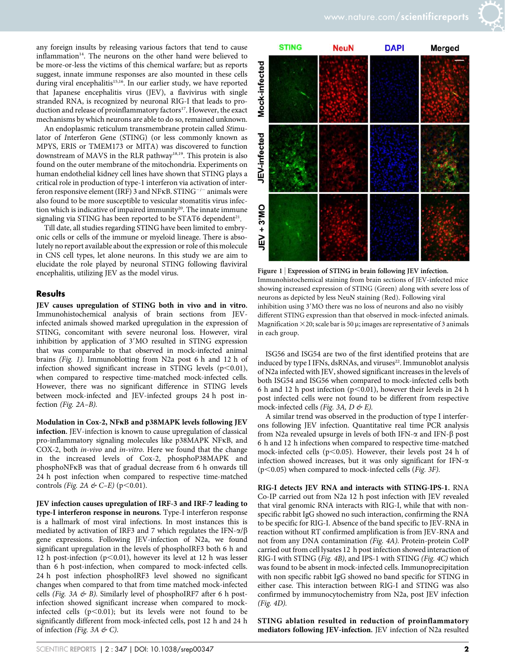any foreign insults by releasing various factors that tend to cause inflammation<sup>14</sup>. The neurons on the other hand were believed to be more-or-less the victims of this chemical warfare; but as reports suggest, innate immune responses are also mounted in these cells during viral encephalitis<sup>15,16</sup>. In our earlier study, we have reported that Japanese encephalitis virus (JEV), a flavivirus with single stranded RNA, is recognized by neuronal RIG-I that leads to production and release of proinflammatory factors<sup>17</sup>. However, the exact mechanisms by which neurons are able to do so, remained unknown.

An endoplasmic reticulum transmembrane protein called Stimulator of Interferon Gene (STING) (or less commonly known as MPYS, ERIS or TMEM173 or MITA) was discovered to function downstream of MAVS in the RLR pathway<sup>18,19</sup>. This protein is also found on the outer membrane of the mitochondria. Experiments on human endothelial kidney cell lines have shown that STING plays a critical role in production of type-1 interferon via activation of interferon responsive element (IRF) 3 and NFKB. STING<sup> $-/-$ </sup> animals were also found to be more susceptible to vesicular stomatitis virus infection which is indicative of impaired immunity<sup>20</sup>. The innate immune signaling via STING has been reported to be STAT6 dependent<sup>21</sup>.

Till date, all studies regarding STING have been limited to embryonic cells or cells of the immune or myeloid lineage. There is absolutely no report available about the expression or role of this molecule in CNS cell types, let alone neurons. In this study we are aim to elucidate the role played by neuronal STING following flaviviral encephalitis, utilizing JEV as the model virus.

#### **Results**

JEV causes upregulation of STING both in vivo and in vitro. Immunohistochemical analysis of brain sections from JEVinfected animals showed marked upregulation in the expression of STING, concomitant with severe neuronal loss. However, viral inhibition by application of 3'MO resulted in STING expression that was comparable to that observed in mock-infected animal brains (Fig. 1). Immunoblotting from N2a post 6 h and 12 h of infection showed significant increase in STING levels  $(p<0.01)$ , when compared to respective time-matched mock-infected cells. However, there was no significant difference in STING levels between mock-infected and JEV-infected groups 24 h post infection (Fig. 2A–B).

Modulation in Cox-2, NFkB and p38MAPK levels following JEV infection. JEV-infection is known to cause upregulation of classical pro-inflammatory signaling molecules like p38MAPK NFkB, and COX-2, both in-vivo and in-vitro. Here we found that the change in the increased levels of Cox-2, phosphoP38MAPK and phosphoNFkB was that of gradual decrease from 6 h onwards till 24 h post infection when compared to respective time-matched controls (Fig. 2A & C–E) ( $p$ <0.01).

JEV infection causes upregulation of IRF-3 and IRF-7 leading to type-I interferon response in neurons. Type-I interferon response is a hallmark of most viral infections. In most instances this is mediated by activation of IRF3 and 7 which regulates the IFN- $\alpha/\beta$ gene expressions. Following JEV-infection of N2a, we found significant upregulation in the levels of phosphoIRF3 both 6 h and 12 h post-infection ( $p<0.01$ ), however its level at 12 h was lesser than 6 h post-infection, when compared to mock-infected cells. 24 h post infection phosphoIRF3 level showed no significant changes when compared to that from time matched mock-infected cells (Fig. 3A  $\&$  B). Similarly level of phosphoIRF7 after 6 h postinfection showed significant increase when compared to mockinfected cells  $(p<0.01)$ ; but its levels were not found to be significantly different from mock-infected cells, post 12 h and 24 h of infection (Fig. 3A  $\&$  C).



Figure 1 | Expression of STING in brain following JEV infection. Immunohistochemical staining from brain sections of JEV-infected mice showing increased expression of STING (Green) along with severe loss of neurons as depicted by less NeuN staining (Red). Following viral inhibition using 3'MO there was no loss of neurons and also no visibly different STING expression than that observed in mock-infected animals. Magnification  $\times$  20; scale bar is 50  $\mu$ ; images are representative of 3 animals in each group.

ISG56 and ISG54 are two of the first identified proteins that are induced by type I IFNs, dsRNAs, and viruses<sup>22</sup>. Immunoblot analysis of N2a infected with JEV, showed significant increases in the levels of both ISG54 and ISG56 when compared to mock-infected cells both 6 h and 12 h post infection ( $p<0.01$ ), however their levels in 24 h post infected cells were not found to be different from respective mock-infected cells (Fig. 3A,  $D \not\in E$ ).

A similar trend was observed in the production of type I interferons following JEV infection. Quantitative real time PCR analysis from N2a revealed upsurge in levels of both IFN- $\alpha$  and IFN- $\beta$  post 6 h and 12 h infections when compared to respective time-matched mock-infected cells ( $p$ <0.05). However, their levels post 24 h of infection showed increases, but it was only significant for IFN- $\alpha$  $(p<0.05)$  when compared to mock-infected cells (*Fig. 3F*).

RIG-I detects JEV RNA and interacts with STING-IPS-1. RNA Co-IP carried out from N2a 12 h post infection with JEV revealed that viral genomic RNA interacts with RIG-I, while that with nonspecific rabbit IgG showed no such interaction, confirming the RNA to be specific for RIG-I. Absence of the band specific to JEV-RNA in reaction without RT confirmed amplification is from JEV-RNA and not from any DNA contamination (Fig. 4A). Protein-protein CoIP carried out from cell lysates 12 h post infection showed interaction of RIG-I with STING (Fig. 4B), and IPS-1 with STING (Fig. 4C) which was found to be absent in mock-infected cells. Immunoprecipitation with non specific rabbit IgG showed no band specific for STING in either case. This interaction between RIG-I and STING was also confirmed by immunocytochemistry from N2a, post JEV infection (Fig. 4D).

STING ablation resulted in reduction of proinflammatory mediators following JEV-infection. JEV infection of N2a resulted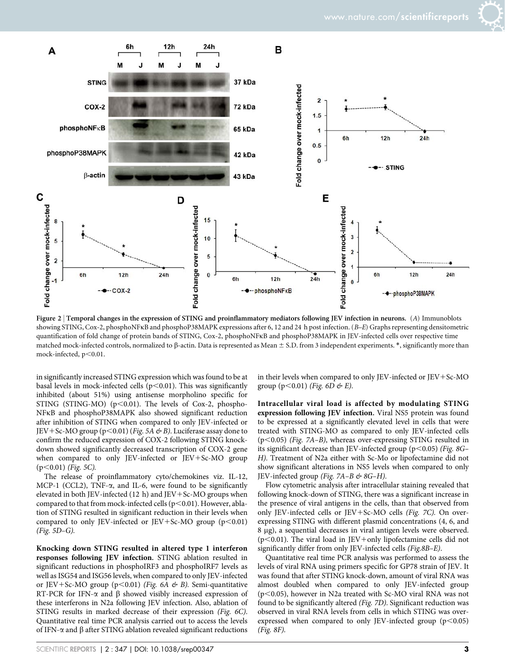



Figure 2 | Temporal changes in the expression of STING and proinflammatory mediators following JEV infection in neurons. (A) Immunoblots showing STING, Cox-2, phosphoNFkB and phosphoP38MAPK expressions after 6, 12 and 24 h post infection. (B–E) Graphs representing densitometric quantification of fold change of protein bands of STING, Cox-2, phosphoNFkB and phosphoP38MAPK in JEV-infected cells over respective time matched mock-infected controls, normalized to  $\beta$ -actin. Data is represented as Mean  $\pm$  S.D. from 3 independent experiments.  $*$ , significantly more than mock-infected,  $p<0.01$ .

in significantly increased STING expression which was found to be at basal levels in mock-infected cells ( $p<0.01$ ). This was significantly inhibited (about 51%) using antisense morpholino specific for STING (STING-MO) ( $p$ <0.01). The levels of Cox-2, phospho-NFkB and phosphoP38MAPK also showed significant reduction after inhibition of STING when compared to only JEV-infected or JEV + Sc-MO group (p<0.01) (*Fig. 5A*  $\&$  *B*). Luciferase assay done to confirm the reduced expression of COX-2 following STING knockdown showed significantly decreased transcription of COX-2 gene when compared to only JEV-infected or JEV+Sc-MO group  $(p<0.01)$  (Fig. 5C).

The release of proinflammatory cyto/chemokines viz. IL-12, MCP-1 (CCL2), TNF- $\alpha$ , and IL-6, were found to be significantly elevated in both JEV-infected (12 h) and JEV+Sc-MO groups when compared to that from mock-infected cells ( $p<0.01$ ). However, ablation of STING resulted in significant reduction in their levels when compared to only JEV-infected or JEV+Sc-MO group ( $p<0.01$ ) (Fig. 5D–G).

Knocking down STING resulted in altered type 1 interferon responses following JEV infection. STING ablation resulted in significant reductions in phosphoIRF3 and phosphoIRF7 levels as well as ISG54 and ISG56 levels, when compared to only JEV-infected or JEV+Sc-MO group (p<0.01) (Fig. 6A  $\&$  B). Semi-quantitative RT-PCR for IFN- $\alpha$  and  $\beta$  showed visibly increased expression of these interferons in N2a following JEV infection. Also, ablation of STING results in marked decrease of their expression (Fig. 6C). Quantitative real time PCR analysis carried out to access the levels of IFN- $\alpha$  and  $\beta$  after STING ablation revealed significant reductions

in their levels when compared to only JEV-infected or JEV+Sc-MO group (p<0.01) (Fig. 6D  $\&$  E).

Intracellular viral load is affected by modulating STING expression following JEV infection. Viral NS5 protein was found to be expressed at a significantly elevated level in cells that were treated with STING-MO as compared to only JEV-infected cells  $(p<0.05)$  (Fig. 7A–B), whereas over-expressing STING resulted in its significant decrease than JEV-infected group ( $p$ <0.05) (*Fig. 8G*– H). Treatment of N2a either with Sc-Mo or lipofectamine did not show significant alterations in NS5 levels when compared to only JEV-infected group (Fig. 7A-B  $\&$  8G-H).

Flow cytometric analysis after intracellular staining revealed that following knock-down of STING, there was a significant increase in the presence of viral antigens in the cells, than that observed from only JEV-infected cells or JEV+Sc-MO cells (Fig. 7C). On overexpressing STING with different plasmid concentrations (4, 6, and 8 µg), a sequential decreases in viral antigen levels were observed. ( $p$ <0.01). The viral load in JEV+only lipofectamine cells did not significantly differ from only JEV-infected cells (Fig.8B–E).

Quantitative real time PCR analysis was performed to assess the levels of viral RNA using primers specific for GP78 strain of JEV. It was found that after STING knock-down, amount of viral RNA was almost doubled when compared to only JEV-infected group ( $p$ <0.05), however in N2a treated with Sc-MO viral RNA was not found to be significantly altered (Fig. 7D). Significant reduction was observed in viral RNA levels from cells in which STING was overexpressed when compared to only JEV-infected group  $(p<0.05)$ (Fig. 8F).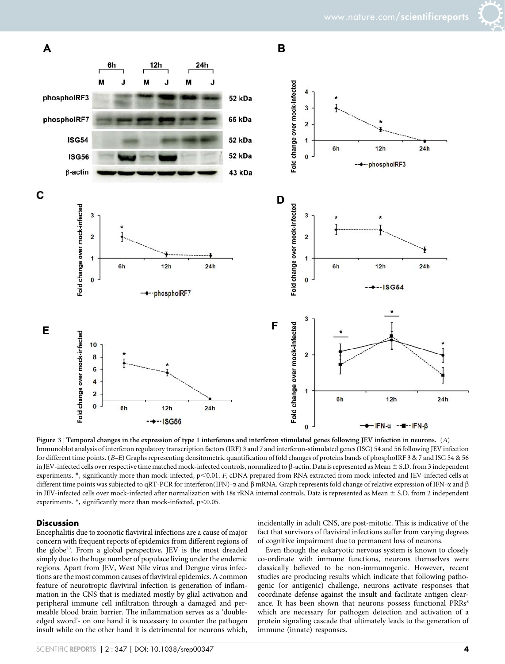



Figure 3 | Temporal changes in the expression of type 1 interferons and interferon stimulated genes following JEV infection in neurons. (A) Immunoblot analysis of interferon regulatory transcription factors (IRF) 3 and 7 and interferon-stimulated genes (ISG) 54 and 56 following JEV infection for different time points. (B–E) Graphs representing densitometric quantification of fold changes of proteins bands of phosphoIRF 3 & 7 and ISG 54 & 56 in JEV-infected cells over respective time matched mock-infected controls, normalized to  $\beta$ -actin. Data is represented as Mean  $\pm$  S.D. from 3 independent experiments.  $*$ , significantly more than mock-infected,  $p<0.01$ . F, cDNA prepared from RNA extracted from mock-infected and JEV-infected cells at different time points was subjected to qRT-PCR for interferon(IFN)- $\alpha$  and  $\beta$  mRNA. Graph represents fold change of relative expression of IFN- $\alpha$  and  $\beta$ in JEV-infected cells over mock-infected after normalization with 18s rRNA internal controls. Data is represented as Mean  $\pm$  S.D. from 2 independent experiments.  $*$ , significantly more than mock-infected,  $p<0.05$ .

#### **Discussion**

Encephalitis due to zoonotic flaviviral infections are a cause of major concern with frequent reports of epidemics from different regions of the globe<sup>23</sup>. From a global perspective, JEV is the most dreaded simply due to the huge number of populace living under the endemic regions. Apart from JEV, West Nile virus and Dengue virus infections are the most common causes of flaviviral epidemics. A common feature of neurotropic flaviviral infection is generation of inflammation in the CNS that is mediated mostly by glial activation and peripheral immune cell infiltration through a damaged and permeable blood brain barrier. The inflammation serves as a 'doubleedged sword'- on one hand it is necessary to counter the pathogen insult while on the other hand it is detrimental for neurons which,

incidentally in adult CNS, are post-mitotic. This is indicative of the fact that survivors of flaviviral infections suffer from varying degrees of cognitive impairment due to permanent loss of neurons.

Even though the eukaryotic nervous system is known to closely co-ordinate with immune functions, neurons themselves were classically believed to be non-immunogenic. However, recent studies are producing results which indicate that following pathogenic (or antigenic) challenge, neurons activate responses that coordinate defense against the insult and facilitate antigen clearance. It has been shown that neurons possess functional PRRs<sup>8</sup> which are necessary for pathogen detection and activation of a protein signaling cascade that ultimately leads to the generation of immune (innate) responses.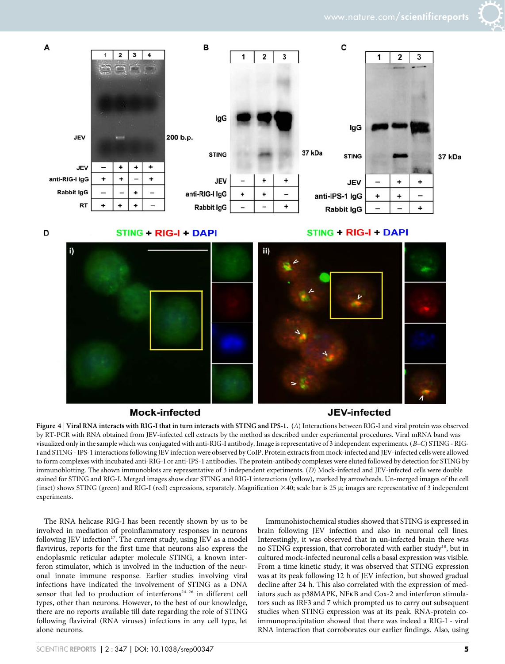

## **Mock-infected**

### **JEV-infected**

Figure 4 <sup>|</sup> Viral RNA interacts with RIG-I that in turn interacts with STING and IPS-1. (A) Interactions between RIG-I and viral protein was observed by RT-PCR with RNA obtained from JEV-infected cell extracts by the method as described under experimental procedures. Viral mRNA band was visualized only in the sample which was conjugated with anti-RIG-I antibody. Image is representative of 3 independent experiments. (B–C) STING - RIG-I and STING - IPS-1 interactions following JEV infection were observed by CoIP. Protein extracts from mock-infected and JEV-infected cells were allowed to form complexes with incubated anti-RIG-I or anti-IPS-1 antibodies. The protein-antibody complexes were eluted followed by detection for STING by immunoblotting. The shown immunoblots are representative of 3 independent experiments. (D) Mock-infected and JEV-infected cells were double stained for STING and RIG-I. Merged images show clear STING and RIG-I interactions (yellow), marked by arrowheads. Un-merged images of the cell (inset) shows STING (green) and RIG-I (red) expressions, separately. Magnification  $\times$ 40; scale bar is 25  $\mu$ ; images are representative of 3 independent experiments.

The RNA helicase RIG-I has been recently shown by us to be involved in mediation of proinflammatory responses in neurons following JEV infection<sup>17</sup>. The current study, using JEV as a model flavivirus, reports for the first time that neurons also express the endoplasmic reticular adapter molecule STING, a known interferon stimulator, which is involved in the induction of the neuronal innate immune response. Earlier studies involving viral infections have indicated the involvement of STING as a DNA sensor that led to production of interferons<sup>24-26</sup> in different cell types, other than neurons. However, to the best of our knowledge, there are no reports available till date regarding the role of STING following flaviviral (RNA viruses) infections in any cell type, let alone neurons.

Immunohistochemical studies showed that STING is expressed in brain following JEV infection and also in neuronal cell lines. Interestingly, it was observed that in un-infected brain there was no STING expression, that corroborated with earlier study<sup>18</sup>, but in cultured mock-infected neuronal cells a basal expression was visible. From a time kinetic study, it was observed that STING expression was at its peak following 12 h of JEV infection, but showed gradual decline after 24 h. This also correlated with the expression of mediators such as p38MAPK, NFkB and Cox-2 and interferon stimulators such as IRF3 and 7 which prompted us to carry out subsequent studies when STING expression was at its peak. RNA-protein coimmunoprecipitation showed that there was indeed a RIG-I - viral RNA interaction that corroborates our earlier findings. Also, using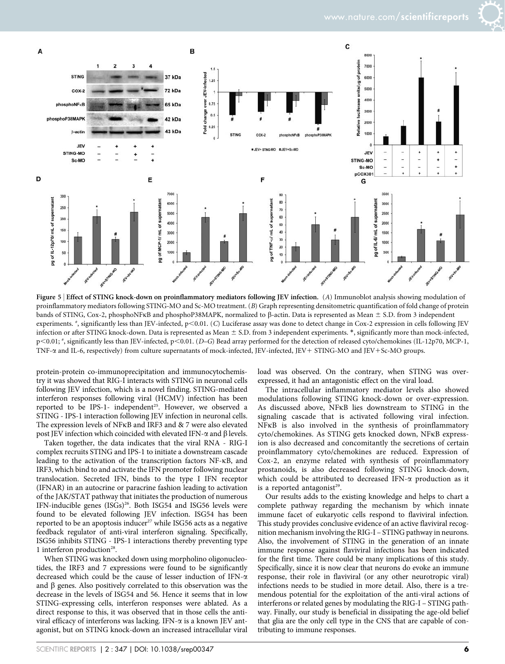

Figure 5 | Effect of STING knock-down on proinflammatory mediators following JEV infection. (A) Immunoblot analysis showing modulation of proinflammatory mediators following STING-MO and Sc-MO treatment. (B) Graph representing densitometric quantification of fold change of protein bands of STING, Cox-2, phosphoNFKB and phosphoP38MAPK, normalized to  $\beta$ -actin. Data is represented as Mean  $\pm$  S.D. from 3 independent experiments. \*, significantly less than JEV-infected, p<0.01. (C) Luciferase assay was done to detect change in Cox-2 expression in cells following JEV infection or after STING knock-down. Data is represented as Mean  $\pm$  S.D. from 3 independent experiments.  $*$ , significantly more than mock-infected, p<0.01; \*, significantly less than JEV-infected, p<0.01. (D–G) Bead array performed for the detection of released cyto/chemokines (IL-12p70, MCP-1, TNF- $\alpha$  and IL-6, respectively) from culture supernatants of mock-infected, JEV-infected, JEV+ STING-MO and JEV+Sc-MO groups.

protein-protein co-immunoprecipitation and immunocytochemistry it was showed that RIG-I interacts with STING in neuronal cells following JEV infection, which is a novel finding. STING-mediated interferon responses following viral (HCMV) infection has been reported to be IPS-1- independent<sup>25</sup>. However, we observed a STING - IPS-1 interaction following JEV infection in neuronal cells. The expression levels of NFkB and IRF3 and & 7 were also elevated post JEV infection which coincided with elevated IFN- $\alpha$  and  $\beta$  levels.

Taken together, the data indicates that the viral RNA - RIG-I complex recruits STING and IPS-1 to initiate a downstream cascade leading to the activation of the transcription factors NF-kB, and IRF3, which bind to and activate the IFN promoter following nuclear translocation. Secreted IFN, binds to the type I IFN receptor (IFNAR) in an autocrine or paracrine fashion leading to activation of the JAK/STAT pathway that initiates the production of numerous IFN-inducible genes (ISGs)<sup>26</sup>. Both ISG54 and ISG56 levels were found to be elevated following JEV infection. ISG54 has been reported to be an apoptosis inducer<sup>27</sup> while ISG56 acts as a negative feedback regulator of anti-viral interferon signaling. Specifically, ISG56 inhibits STING - IPS-1 interactions thereby preventing type 1 interferon production<sup>28</sup>.

When STING was knocked down using morpholino oligonucleotides, the IRF3 and 7 expressions were found to be significantly decreased which could be the cause of lesser induction of  $IFN-\alpha$ and  $\beta$  genes. Also positively correlated to this observation was the decrease in the levels of ISG54 and 56. Hence it seems that in low STING-expressing cells, interferon responses were ablated. As a direct response to this, it was observed that in those cells the antiviral efficacy of interferons was lacking. IFN- $\alpha$  is a known JEV antagonist, but on STING knock-down an increased intracellular viral load was observed. On the contrary, when STING was overexpressed, it had an antagonistic effect on the viral load.

The intracellular inflammatory mediator levels also showed modulations following STING knock-down or over-expression. As discussed above, NFkB lies downstream to STING in the signaling cascade that is activated following viral infection. NFkB is also involved in the synthesis of proinflammatory cyto/chemokines. As STING gets knocked down, NFkB expression is also decreased and concomitantly the secretions of certain proinflammatory cyto/chemokines are reduced. Expression of Cox-2, an enzyme related with synthesis of proinflammatory prostanoids, is also decreased following STING knock-down, which could be attributed to decreased IFN- $\alpha$  production as it is a reported antagonist<sup>29</sup>.

Our results adds to the existing knowledge and helps to chart a complete pathway regarding the mechanism by which innate immune facet of eukaryotic cells respond to flaviviral infection. This study provides conclusive evidence of an active flaviviral recognition mechanism involving the RIG-I – STING pathway in neurons. Also, the involvement of STING in the generation of an innate immune response against flaviviral infections has been indicated for the first time. There could be many implications of this study. Specifically, since it is now clear that neurons do evoke an immune response, their role in flaviviral (or any other neurotropic viral) infections needs to be studied in more detail. Also, there is a tremendous potential for the exploitation of the anti-viral actions of interferons or related genes by modulating the RIG-I – STING pathway. Finally, our study is beneficial in dissipating the age-old belief that glia are the only cell type in the CNS that are capable of contributing to immune responses.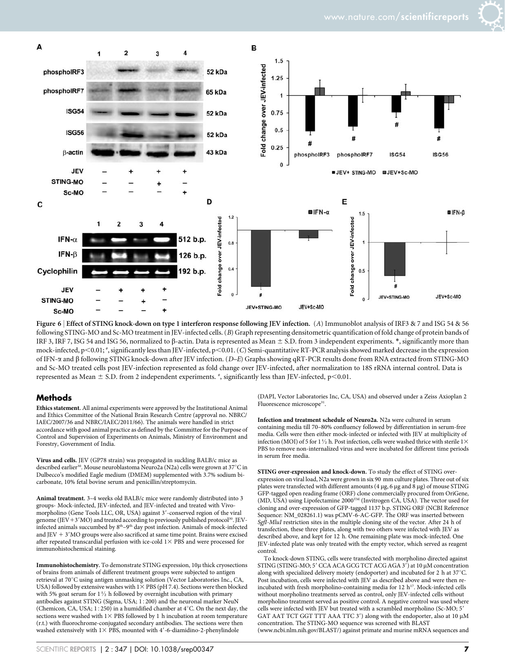

Figure 6 | Effect of STING knock-down on type 1 interferon response following JEV infection. (A) Immunoblot analysis of IRF3 & 7 and ISG 54 & 56 following STING-MO and Sc-MO treatment in JEV-infected cells. (B) Graph representing densitometric quantification of fold change of protein bands of IRF 3, IRF 7, ISG 54 and ISG 56, normalized to  $\beta$ -actin. Data is represented as Mean  $\pm$  S.D. from 3 independent experiments. \*, significantly more than mock-infected, p<0.01;  $*$ , significantly less than JEV-infected, p<0.01. (C) Semi-quantitative RT-PCR analysis showed marked decrease in the expression of IFN-a and b following STING knock-down after JEV infection. (D–E) Graphs showing qRT-PCR results done from RNA extracted from STING-MO and Sc-MO treated cells post JEV-infection represented as fold change over JEV-infected, after normalization to 18S rRNA internal control. Data is represented as Mean  $\pm$  S.D. from 2 independent experiments.  $\overset{*}{\cdot}$ , significantly less than JEV-infected, p<0.01.

#### **Methods**

Ethics statement. All animal experiments were approved by the Institutional Animal and Ethics Committee of the National Brain Research Centre (approval no. NBRC/ IAEC/2007/36 and NBRC/IAEC/2011/66). The animals were handled in strict accordance with good animal practice as defined by the Committee for the Purpose of Control and Supervision of Experiments on Animals, Ministry of Environment and Forestry, Government of India.

Virus and cells. JEV (GP78 strain) was propagated in suckling BALB/c mice as described earlier<sup>30</sup>. Mouse neuroblastoma Neuro2a (N2a) cells were grown at 37°C in Dulbecco's modified Eagle medium (DMEM) supplemented with 3.7% sodium bicarbonate, 10% fetal bovine serum and penicillin/streptomycin.

Animal treatment. 3–4 weeks old BALB/c mice were randomly distributed into 3 groups- Mock-infected, JEV-infected, and JEV-infected and treated with Vivomorpholino (Gene Tools LLC, OR, USA) against 3'-conserved region of the viral genome (JEV+3'MO) and treated according to previously published protocol<sup>30</sup>. JEVinfected animals succumbed by  $8<sup>th</sup>-9<sup>th</sup>$  day post infection. Animals of mock-infected and JEV  $+$  3'MO groups were also sacrificed at same time point. Brains were excised after repeated transcardial perfusion with ice-cold  $1\times$  PBS and were processed for immunohistochemical staining.

Immunohistochemistry. To demonstrate STING expression, 10µ thick cryosections of brains from animals of different treatment groups were subjected to antigen retrieval at 70°C using antigen unmasking solution (Vector Laboratories Inc., CA, USA) followed by extensive washes with  $1\times$  PBS (pH 7.4). Sections were then blocked with 5% goat serum for  $1\frac{1}{2}$  h followed by overnight incubation with primary antibodies against STING (Sigma, USA; 1:200) and the neuronal marker NeuN (Chemicon, CA, USA;  $1:250$ ) in a humidified chamber at  $4^{\circ}$ C. On the next day, the sections were washed with  $1\times$  PBS followed by 1 h incubation at room temperature (r.t.) with fluorochrome-conjugated secondary antibodies. The sections were then washed extensively with  $1\times$  PBS, mounted with 4'-6-diamidino-2-phenylindole

(DAPI, Vector Laboratories Inc, CA, USA) and observed under a Zeiss Axioplan 2 Fluorescence microscope<sup>31</sup>.

Infection and treatment schedule of Neuro2a. N2a were cultured in serum containing media till 70–80% confluency followed by differentiation in serum-free media. Cells were then either mock-infected or infected with JEV at multiplicity of infection (MOI) of 5 for 1  $\!/\!_2$  h. Post infection, cells were washed thrice with sterile 1  $\times$ PBS to remove non-internalized virus and were incubated for different time periods in serum free media.

STING over-expression and knock-down. To study the effect of STING overexpression on viral load, N2a were grown in six 90 mm culture plates. Three out of six plates were transfected with different amounts (4 µg, 6 µg and 8 µg) of mouse STING GFP-tagged open reading frame (ORF) clone commercially procured from OriGene, (MD, USA) using Lipofectamine 2000<sup>™</sup> (Invitrogen CA, USA). The vector used for cloning and over-expression of GFP-tagged 1137 b.p. STING ORF (NCBI Reference Sequence: NM\_028261.1) was pCMV-6-AC-GFP. The ORF was inserted between SgfI-MluI restriction sites in the multiple cloning site of the vector. After 24 h of transfection, these three plates, along with two others were infected with JEV as described above, and kept for 12 h. One remaining plate was mock-infected. One JEV-infected plate was only treated with the empty vector, which served as reagent control.

To knock-down STING, cells were transfected with morpholino directed against STING (STING-MO; 5' CCA ACA GCG TCT ACG AGA 3') at 10 µM concentration along with specialized delivery moiety (endoporter) and incubated for 2 h at  $37^{\circ}$ C. Post incubation, cells were infected with JEV as described above and were then reincubated with fresh morpholino-containing media for 12  $\rm h^{17}$  .<br>Mock-infected cells without morpholino treatments served as control, only JEV-infected cells without morpholino treatment served as positive control. A negative control was used where cells were infected with JEV but treated with a scrambled morpholino (Sc-MO; 5' GAT AAT TCT GGT TTT AAA TTC 3') along with the endoporter, also at 10 µM concentration. The STING-MO sequence was screened with BLAST [\(www.ncbi.nlm.nih.gov/BLAST/](www.ncbi.nlm.nih.gov/BLAST)) against primate and murine mRNA sequences and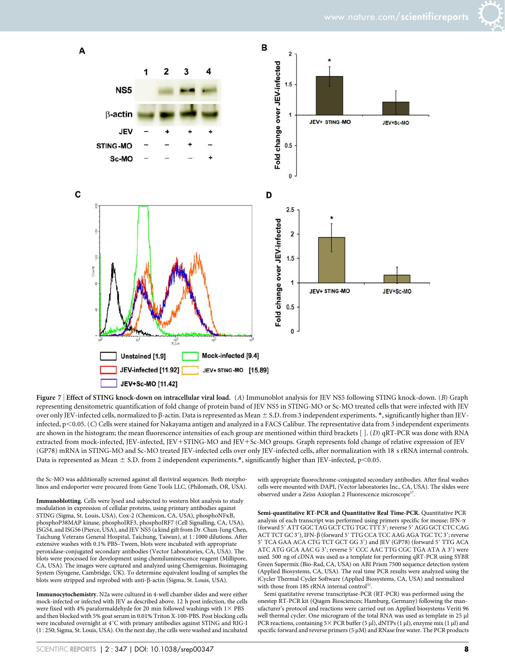



Figure 7 <sup>|</sup> Effect of STING knock-down on intracellular viral load. (A) Immunoblot analysis for JEV NS5 following STING knock-down. (B) Graph representing densitometric quantification of fold change of protein band of JEV NS5 in STING-MO or Sc-MO treated cells that were infected with JEV over only JEV-infected cells, normalized to β-actin. Data is represented as Mean ± S.D. from 3 independent experiments. \*, significantly higher than JEVinfected, p<0.05. (C) Cells were stained for Nakayama antigen and analyzed in a FACS Calibur. The representative data from 3 independent experiments are shown in the histogram; the mean fluorescence intensities of each group are mentioned within third brackets [ ]. (D) qRT-PCR was done with RNA extracted from mock-infected, JEV-infected, JEV+STING-MO and JEV+Sc-MO groups. Graph represents fold change of relative expression of JEV (GP78) mRNA in STING-MO and Sc-MO treated JEV-infected cells over only JEV-infected cells, after normalization with 18 s rRNA internal controls. Data is represented as Mean  $\pm$  S.D. from 2 independent experiments.\*, significantly higher than JEV-infected, p<0.05.

the Sc-MO was additionally screened against all flaviviral sequences. Both morpholinos and endoporter were procured from Gene Tools LLC, (Philomath, OR, USA).

Immunoblotting. Cells were lysed and subjected to western blot analysis to study modulation in expression of cellular proteins, using primary antibodies against STING (Sigma, St. Louis, USA), Cox-2 (Chemicon, CA, USA), phosphoNFkB, phosphoP38MAP kinase, phosphoIRF3, phosphoIRF7 (Cell Signalling, CA, USA), ISG54, and ISG56 (Pierce, USA), and JEV NS5 (a kind gift from Dr. Chun-Jung Chen, Taichung Veterans General Hospital, Taichung, Taiwan), at 151000 dilutions. After extensive washes with 0.1% PBS–Tween, blots were incubated with appropriate peroxidase-conjugated secondary antibodies (Vector Laboratories, CA, USA). The blots were processed for development using chemiluminescence reagent (Millipore, CA, USA). The images were captured and analyzed using Chemigenius, Bioimaging System (Syngene, Cambridge, UK). To determine equivalent loading of samples the blots were stripped and reprobed with anti-b-actin (Sigma, St. Louis, USA).

Immunocytochemistry. N2a were cultured in 4-well chamber slides and were either mock-infected or infected with JEV as described above. 12 h post infection, the cells were fixed with 4% paraformaldehyde for 20 min followed washings with  $1\times$  PBS and then blocked with 5% goat serum in 0.01% Triton X-100-PBS. Post blocking cells were incubated overnight at  $4^{\circ}$ C with primary antibodies against STING and RIG-I (15250; Sigma, St. Louis, USA). On the next day, the cells were washed and incubated with appropriate fluorochrome-conjugated secondary antibodies. After final washes cells were mounted with DAPI, (Vector laboratories Inc., CA, USA). The slides were observed under a Zeiss Axioplan 2 Fluorescence microscope<sup>17</sup>.

Semi-quantitative RT-PCR and Quantitative Real Time-PCR. Quantitative PCR analysis of each transcript was performed using primers specific for mouse; IFN- $\alpha$ (forward 5' ATT GGC TAG GCT CTG TGC TTT 3'; reverse 5' AGG GCT CTC CAG ACT TCT GC 3'), IFN-β (forward 5' TTG CCA TCC AAG AGA TGC TC 3'; reverse 5' TCA GAA ACA CTG TCT GCT GG 3') and JEV (GP78) (forward 5' TTG ACA ATC ATG GCA AAC G 3'; reverse 5' CCC AAC TTG CGC TGA ATA A 3') were used. 500 ng of cDNA was used as a template for performing qRT-PCR using SYBR Green Supermix (Bio-Rad, CA, USA) on ABI Prism 7500 sequence detection system (Applied Biosystems, CA, USA). The real time PCR results were analyzed using the iCycler Thermal Cycler Software (Applied Biosystems, CA, USA) and normalized with those from 18S rRNA internal control<sup>32</sup>

Semi quatitative reverse transcriptase-PCR (RT-PCR) was performed using the onestep RT-PCR kit (Qiagen Biosciences; Hamburg, Germany) following the manufacturer's protocol and reactions were carried out on Applied biosystems Veriti 96 well thermal cycler. One microgram of the total RNA was used as template in 25 ml PCR reactions, containing  $5 \times$  PCR buffer (5 µl), dNTPs (1 µl), enzyme mix (1 µl) and specific forward and reverse primers (5 µM) and RNase free water. The PCR products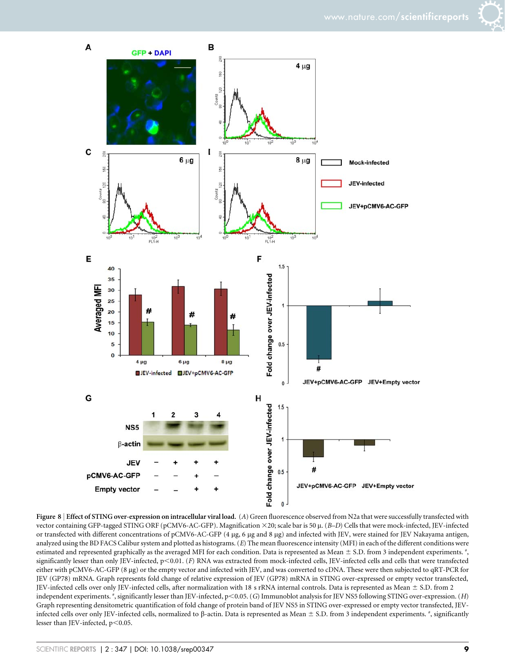



Figure 8 | Effect of STING over-expression on intracellular viral load. (A) Green fluorescence observed from N2a that were successfully transfected with vector containing GFP-tagged STING ORF (pCMV6-AC-GFP). Magnification ×20; scale bar is 50 µ. (B-D) Cells that were mock-infected, JEV-infected or transfected with different concentrations of pCMV6-AC-GFP (4 µg, 6 µg and 8 µg) and infected with JEV, were stained for JEV Nakayama antigen, analyzed using the BD FACS Calibur system and plotted as histograms. (E) The mean fluorescence intensity (MFI) in each of the different conditions were estimated and represented graphically as the averaged MFI for each condition. Data is represented as Mean  $\pm$  S.D. from 3 independent experiments.  $^*,$ significantly lesser than only JEV-infected,  $p<0.01$ . (F) RNA was extracted from mock-infected cells, JEV-infected cells and cells that were transfected either with pCMV6-AC-GFP (8 µg) or the empty vector and infected with JEV, and was converted to cDNA. These were then subjected to qRT-PCR for JEV (GP78) mRNA. Graph represents fold change of relative expression of JEV (GP78) mRNA in STING over-expressed or empty vector transfected, JEV-infected cells over only JEV-infected cells, after normalization with 18 s rRNA internal controls. Data is represented as Mean  $\pm$  S.D. from 2 independent experiments. #, significantly lesser than JEV-infected, p<0.05. (G) Immunoblot analysis for JEV NS5 following STING over-expression. (H) Graph representing densitometric quantification of fold change of protein band of JEV NS5 in STING over-expressed or empty vector transfected, JEVinfected cells over only JEV-infected cells, normalized to  $\beta$ -actin. Data is represented as Mean  $\pm$  S.D. from 3 independent experiments.  $*$ , significantly lesser than JEV-infected,  $p<0.05$ .